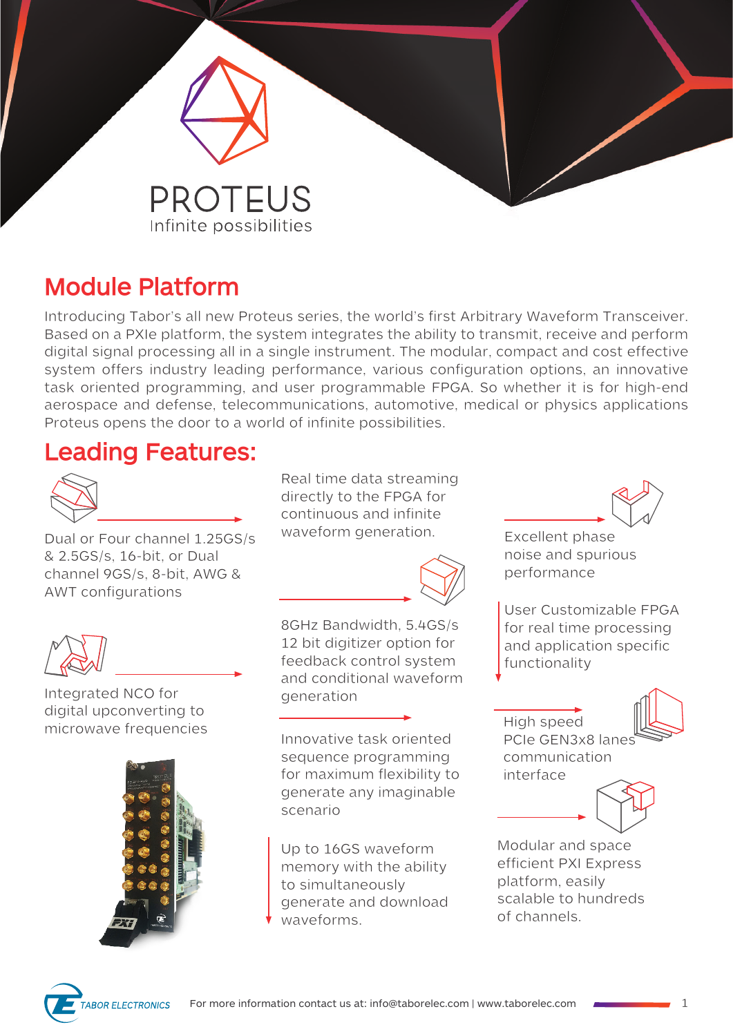

# **Module Platform**

Introducing Tabor's all new Proteus series, the world's first Arbitrary Waveform Transceiver. Based on a PXIe platform, the system integrates the ability to transmit, receive and perform digital signal processing all in a single instrument. The modular, compact and cost effective system offers industry leading performance, various configuration options, an innovative task oriented programming, and user programmable FPGA. So whether it is for high-end aerospace and defense, telecommunications, automotive, medical or physics applications Proteus opens the door to a world of infinite possibilities.

## **Leading Features:**



Dual or Four channel 1.25GS/s & 2.5GS/s, 16-bit, or Dual channel 9GS/s, 8-bit, AWG & AWT configurations



Integrated NCO for digital upconverting to microwave frequencies



Real time data streaming directly to the FPGA for continuous and infinite waveform generation. Excellent phase



8GHz Bandwidth, 5.4GS/s 12 bit digitizer option for feedback control system and conditional waveform generation

Innovative task oriented sequence programming for maximum flexibility to generate any imaginable scenario

Up to 16GS waveform memory with the ability to simultaneously generate and download waveforms.

noise and spurious performance

User Customizable FPGA for real time processing and application specific functionality

High speed PCIe GEN3x8 lanes communication interface



Modular and space efficient PXI Express platform, easily scalable to hundreds of channels.

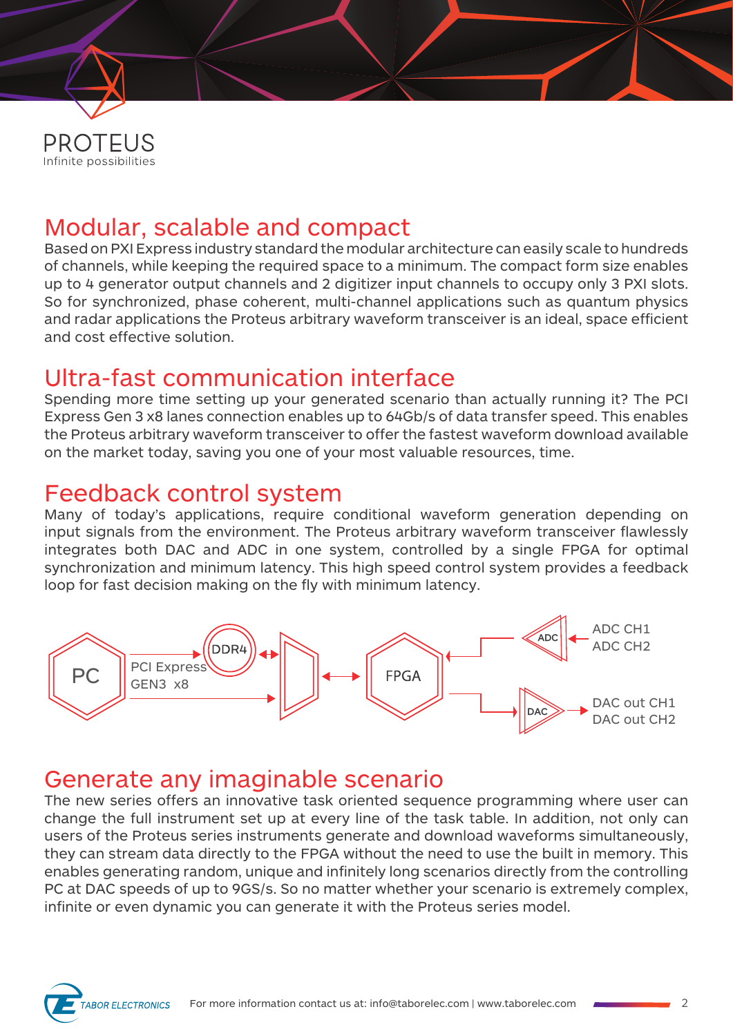

## Modular, scalable and compact

Based on PXI Express industry standard the modular architecture can easily scale to hundreds of channels, while keeping the required space to a minimum. The compact form size enables up to 4 generator output channels and 2 digitizer input channels to occupy only 3 PXI slots. So for synchronized, phase coherent, multi-channel applications such as quantum physics and radar applications the Proteus arbitrary waveform transceiver is an ideal, space efficient and cost effective solution.

## Ultra-fast communication interface

Spending more time setting up your generated scenario than actually running it? The PCI Express Gen 3 x8 lanes connection enables up to 64Gb/s of data transfer speed. This enables the Proteus arbitrary waveform transceiver to offer the fastest waveform download available on the market today, saving you one of your most valuable resources, time.

#### Feedback control system

Many of today's applications, require conditional waveform generation depending on input signals from the environment. The Proteus arbitrary waveform transceiver flawlessly integrates both DAC and ADC in one system, controlled by a single FPGA for optimal synchronization and minimum latency. This high speed control system provides a feedback loop for fast decision making on the fly with minimum latency.



#### Generate any imaginable scenario

The new series offers an innovative task oriented sequence programming where user can change the full instrument set up at every line of the task table. In addition, not only can users of the Proteus series instruments generate and download waveforms simultaneously, they can stream data directly to the FPGA without the need to use the built in memory. This enables generating random, unique and infinitely long scenarios directly from the controlling PC at DAC speeds of up to 9GS/s. So no matter whether your scenario is extremely complex, infinite or even dynamic you can generate it with the Proteus series model.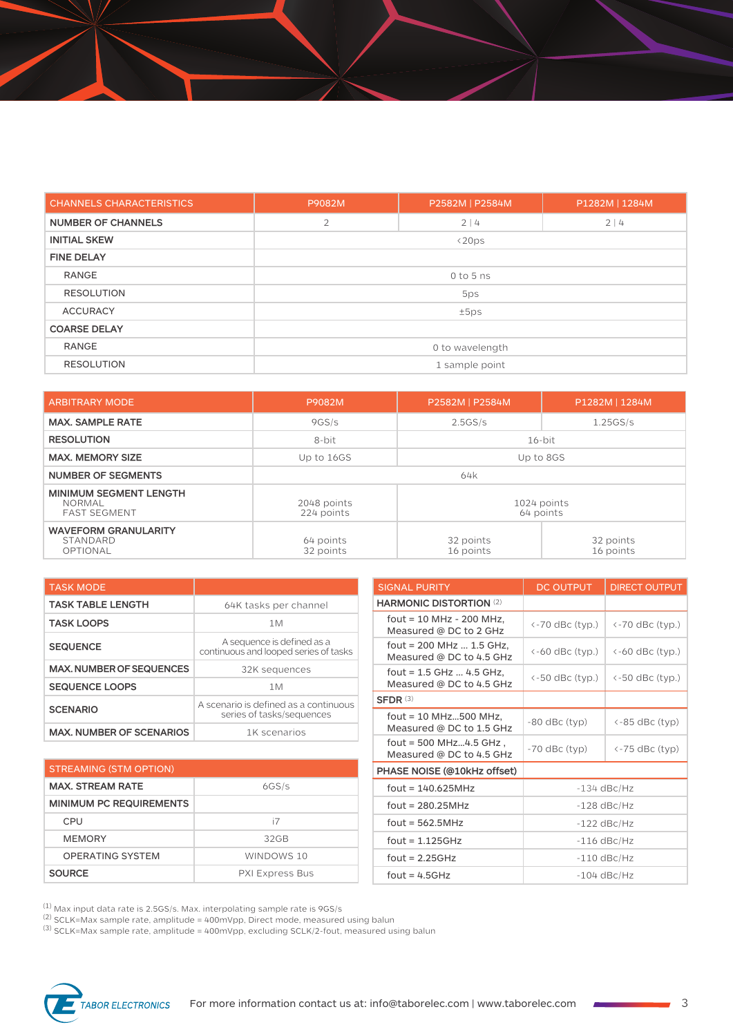| <b>CHANNELS CHARACTERISTICS</b> | P9082M          | P2582M   P2584M | P1282M   1284M |
|---------------------------------|-----------------|-----------------|----------------|
| <b>NUMBER OF CHANNELS</b>       | $\overline{2}$  | 2 4             |                |
| <b>INITIAL SKEW</b>             |                 | $\langle 20ps$  |                |
| <b>FINE DELAY</b>               |                 |                 |                |
| <b>RANGE</b>                    | $0$ to 5 ns     |                 |                |
| <b>RESOLUTION</b>               | 5ps             |                 |                |
| <b>ACCURACY</b>                 | ±5ps            |                 |                |
| <b>COARSE DELAY</b>             |                 |                 |                |
| <b>RANGE</b>                    | 0 to wavelength |                 |                |
| <b>RESOLUTION</b>               | 1 sample point  |                 |                |

| <b>ARBITRARY MODE</b>                                                 | P9082M                                                | P2582M   P2584M        | P1282M   1284M         |  |
|-----------------------------------------------------------------------|-------------------------------------------------------|------------------------|------------------------|--|
| <b>MAX. SAMPLE RATE</b>                                               | 9GS/s                                                 | 2.5GS/s                | 1.25GS/s               |  |
| <b>RESOLUTION</b>                                                     | 8-bit                                                 | $16$ -bit              |                        |  |
| <b>MAX. MEMORY SIZE</b>                                               | Up to 16GS                                            | Up to 8GS              |                        |  |
| <b>NUMBER OF SEGMENTS</b>                                             | 64k                                                   |                        |                        |  |
| <b>MINIMUM SEGMENT LENGTH</b><br><b>NORMAL</b><br><b>FAST SEGMENT</b> | 2048 points<br>1024 points<br>224 points<br>64 points |                        |                        |  |
| <b>WAVEFORM GRANULARITY</b><br>STANDARD<br>OPTIONAL                   | 64 points<br>32 points                                | 32 points<br>16 points | 32 points<br>16 points |  |

| <b>TASK MODE</b>                |                                                                     |  |  |
|---------------------------------|---------------------------------------------------------------------|--|--|
| <b>TASK TABLE LENGTH</b>        | 64K tasks per channel                                               |  |  |
| <b>TASK LOOPS</b>               | 1M                                                                  |  |  |
| <b>SEQUENCE</b>                 | A sequence is defined as a<br>continuous and looped series of tasks |  |  |
| <b>MAX, NUMBER OF SEQUENCES</b> | 32K sequences                                                       |  |  |
| <b>SEQUENCE LOOPS</b>           | 1M                                                                  |  |  |
| <b>SCENARIO</b>                 | A scenario is defined as a continuous<br>series of tasks/sequences  |  |  |
| <b>MAX. NUMBER OF SCENARIOS</b> | 1K scenarios                                                        |  |  |

| <b>STREAMING (STM OPTION)</b>  |                        |  |
|--------------------------------|------------------------|--|
| <b>MAX. STREAM RATE</b>        | 6GS/s                  |  |
| <b>MINIMUM PC REQUIREMENTS</b> |                        |  |
| CPU                            | i7                     |  |
| <b>MEMORY</b>                  | 32 <sub>GB</sub>       |  |
| OPFRATING SYSTEM               | WINDOWS 10             |  |
| <b>SOURCE</b>                  | <b>PXI Express Bus</b> |  |

| <b>SIGNAL PURITY</b>                                   | <b>DC OUTPUT</b>                            | <b>DIRECT OUTPUT</b>       |
|--------------------------------------------------------|---------------------------------------------|----------------------------|
| <b>HARMONIC DISTORTION (2)</b>                         |                                             |                            |
| fout = 10 MHz - 200 MHz,<br>Measured @ DC to 2 GHz     | $\left\langle -70 \right\rangle$ dBc (typ.) | $\leftarrow$ 70 dBc (typ.) |
| fout = $200$ MHz  1.5 GHz,<br>Measured @ DC to 4.5 GHz | $\leftarrow$ 60 dBc (typ.)                  | $\leftarrow$ 60 dBc (typ.) |
| fout = $1.5$ GHz  4.5 GHz,<br>Measured @ DC to 4.5 GHz | $\leftarrow$ 50 dBc (typ.)                  | <-50 dBc (typ.)            |
| $SFDR$ (3)                                             |                                             |                            |
| fout = $10$ MHz500 MHz,<br>Measured @ DC to 1.5 GHz    | $-80$ dBc (typ)                             | <-85 dBc (typ)             |
| fout = $500$ MHz4.5 GHz,<br>Measured @ DC to 4.5 GHz   | $-70$ dBc (typ)                             | <-75 dBc (typ)             |
| PHASE NOISE (@10kHz offset)                            |                                             |                            |
| $fout = 140.625MHz$                                    | $-134$ dBc/Hz                               |                            |
| $fout = 280.25MHz$                                     | $-128$ dBc/Hz                               |                            |
| $fout = 562.5MHz$                                      | $-122$ dBc/Hz                               |                            |
| fout = $1.125GHz$                                      | $-116$ dBc/Hz                               |                            |
| fout = $2.25GHz$                                       | $-110$ dBc/Hz                               |                            |
| $fout = 4.5GHz$                                        | $-104$ dBc/Hz                               |                            |

 $^{\left(1\right)}$  Max input data rate is 2.5GS/s. Max. interpolating sample rate is 9GS/s

 $^{(2)}$  SCLK=Max sample rate, amplitude = 400mVpp, Direct mode, measured using balun

 $^{(3)}$  SCLK=Max sample rate, amplitude = 400mVpp, excluding SCLK/2-fout, measured using balun

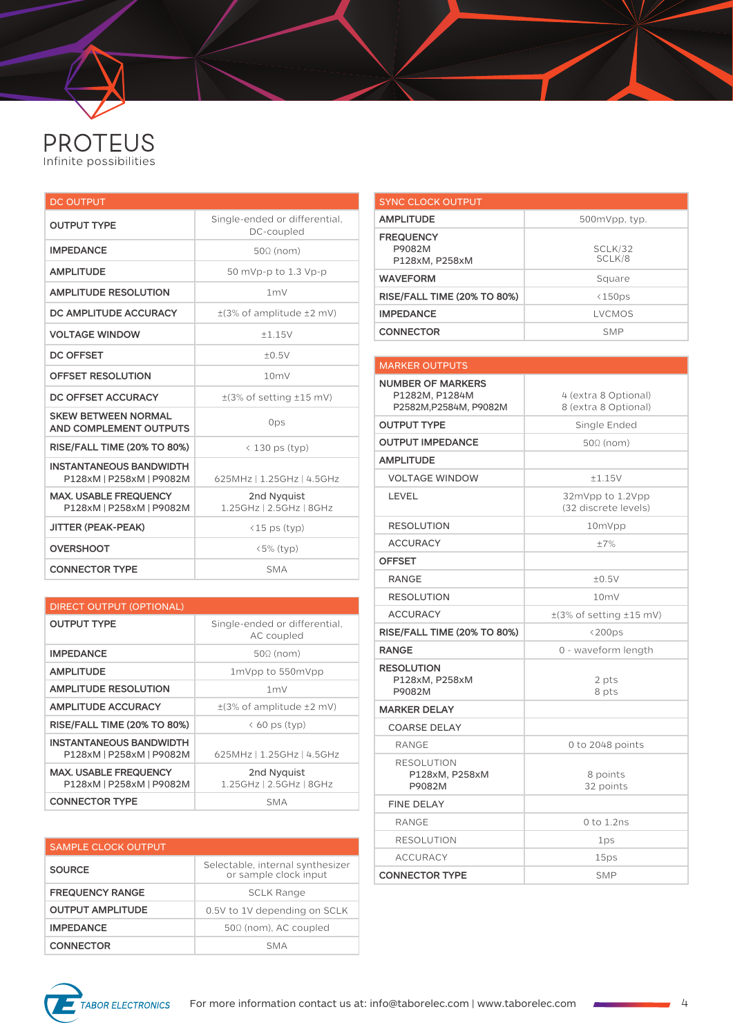

| <b>DC OUTPUT</b>                                           |                                             |  |  |
|------------------------------------------------------------|---------------------------------------------|--|--|
| <b>OUTPUT TYPE</b>                                         | Single-ended or differential,<br>DC-coupled |  |  |
| <b>IMPEDANCE</b>                                           | $50\Omega$ (nom)                            |  |  |
| <b>AMPLITUDE</b>                                           | 50 mVp-p to 1.3 Vp-p                        |  |  |
| <b>AMPLITUDE RESOLUTION</b>                                | 1 <sub>m</sub>                              |  |  |
| DC AMPLITUDE ACCURACY                                      | $\pm$ (3% of amplitude $\pm$ 2 mV)          |  |  |
| <b>VOLTAGE WINDOW</b>                                      | ±1.15V                                      |  |  |
| <b>DC OFFSET</b>                                           | ±0.5V                                       |  |  |
| <b>OFFSET RESOLUTION</b>                                   | 10mV                                        |  |  |
| DC OFFSET ACCURACY                                         | $\pm$ (3% of setting $\pm$ 15 mV)           |  |  |
| <b>SKEW BETWEEN NORMAL</b><br>AND COMPLEMENT OUTPUTS       | 0ps                                         |  |  |
| <b>RISE/FALL TIME (20% TO 80%)</b>                         | $\langle$ 130 ps (typ)                      |  |  |
| <b>INSTANTANEOUS BANDWIDTH</b><br>P128xM   P258xM   P9082M | 625MHz   1.25GHz   4.5GHz                   |  |  |
| <b>MAX, USABLE FREQUENCY</b><br>P128xM   P258xM   P9082M   | 2nd Nyquist<br>1.25GHz   2.5GHz   8GHz      |  |  |
| <b>JITTER (PEAK-PEAK)</b>                                  | $(15 \text{ ps (typ)})$                     |  |  |
| <b>OVERSHOOT</b>                                           | $\langle 5\%$ (typ)                         |  |  |
| <b>CONNECTOR TYPE</b>                                      | <b>SMA</b>                                  |  |  |

| <b>DIRECT OUTPUT (OPTIONAL)</b>                            |                                             |  |  |
|------------------------------------------------------------|---------------------------------------------|--|--|
| <b>OUTPUT TYPE</b>                                         | Single-ended or differential,<br>AC coupled |  |  |
| <b>IMPEDANCE</b>                                           | $50\Omega$ (nom)                            |  |  |
| <b>AMPLITUDE</b>                                           | 1mVpp to 550mVpp                            |  |  |
| <b>AMPLITUDE RESOLUTION</b>                                | 1 <sub>m</sub>                              |  |  |
| <b>AMPLITUDE ACCURACY</b>                                  | $\pm$ (3% of amplitude $\pm$ 2 mV)          |  |  |
| <b>RISE/FALL TIME (20% TO 80%)</b>                         | $\langle$ 60 ps (typ)                       |  |  |
| <b>INSTANTANEOUS BANDWIDTH</b><br>P128xM   P258xM   P9082M | 625MHz   1.25GHz   4.5GHz                   |  |  |
| <b>MAX. USABLE FREQUENCY</b><br>P128xM   P258xM   P9082M   | 2nd Nyguist<br>1.25GHz   2.5GHz   8GHz      |  |  |
| <b>CONNECTOR TYPE</b>                                      | SMA                                         |  |  |

| <b>SAMPLE CLOCK OUTPUT</b> |                                                           |
|----------------------------|-----------------------------------------------------------|
| <b>SOURCE</b>              | Selectable, internal synthesizer<br>or sample clock input |
| <b>FREQUENCY RANGE</b>     | <b>SCLK Range</b>                                         |
| <b>OUTPUT AMPLITUDE</b>    | 0.5V to 1V depending on SCLK                              |
| <b>IMPEDANCE</b>           | 500 (nom), AC coupled                                     |
| <b>CONNECTOR</b>           | <b>SMA</b>                                                |

| <b>SYNC CLOCK OUTPUT</b>                     |                   |
|----------------------------------------------|-------------------|
| <b>AMPLITUDE</b>                             | 500mVpp, typ.     |
| <b>FREQUENCY</b><br>P9082M<br>P128xM, P258xM | SCLK/32<br>SCLK/8 |
| <b>WAVEFORM</b>                              | Square            |
| <b>RISE/FALL TIME (20% TO 80%)</b>           | <150ps            |
| <b>IMPEDANCE</b>                             | LVCMOS            |
| <b>CONNECTOR</b>                             | <b>SMP</b>        |

| <b>MARKER OUTPUTS</b>                                                |                                              |  |
|----------------------------------------------------------------------|----------------------------------------------|--|
| <b>NUMBER OF MARKERS</b><br>P1282M, P1284M<br>P2582M, P2584M, P9082M | 4 (extra 8 Optional)<br>8 (extra 8 Optional) |  |
| <b>OUTPUT TYPE</b>                                                   | Single Ended                                 |  |
| <b>OUTPUT IMPEDANCE</b>                                              | $50\Omega$ (nom)                             |  |
| <b>AMPLITUDE</b>                                                     |                                              |  |
| <b>VOLTAGE WINDOW</b>                                                | ±1.15V                                       |  |
| LEVEL                                                                | 32mVpp to 1.2Vpp<br>(32 discrete levels)     |  |
| <b>RESOLUTION</b>                                                    | 10mVpp                                       |  |
| <b>ACCURACY</b>                                                      | ±7%                                          |  |
| <b>OFFSET</b>                                                        |                                              |  |
| <b>RANGE</b>                                                         | ±0.5V                                        |  |
| <b>RESOLUTION</b>                                                    | 10 <sub>m</sub>                              |  |
| <b>ACCURACY</b>                                                      | $\pm$ (3% of setting $\pm$ 15 mV)            |  |
| <b>RISE/FALL TIME (20% TO 80%)</b>                                   | $\langle 200 \text{ps}$                      |  |
| <b>RANGE</b>                                                         | 0 - waveform length                          |  |
| <b>RESOLUTION</b><br>P128xM, P258xM<br>P9082M                        | 2 pts<br>8 pts                               |  |
| <b>MARKER DELAY</b>                                                  |                                              |  |
| <b>COARSE DELAY</b>                                                  |                                              |  |
| <b>RANGE</b>                                                         | 0 to 2048 points                             |  |
| <b>RESOLUTION</b><br>P128xM, P258xM<br>P9082M                        | 8 points<br>32 points                        |  |
| <b>FINE DELAY</b>                                                    |                                              |  |
| <b>RANGE</b>                                                         | $0$ to $1.2$ ns                              |  |
| <b>RESOLUTION</b>                                                    | 1ps                                          |  |
| <b>ACCURACY</b>                                                      | 15ps                                         |  |
| <b>CONNECTOR TYPE</b>                                                | <b>SMP</b>                                   |  |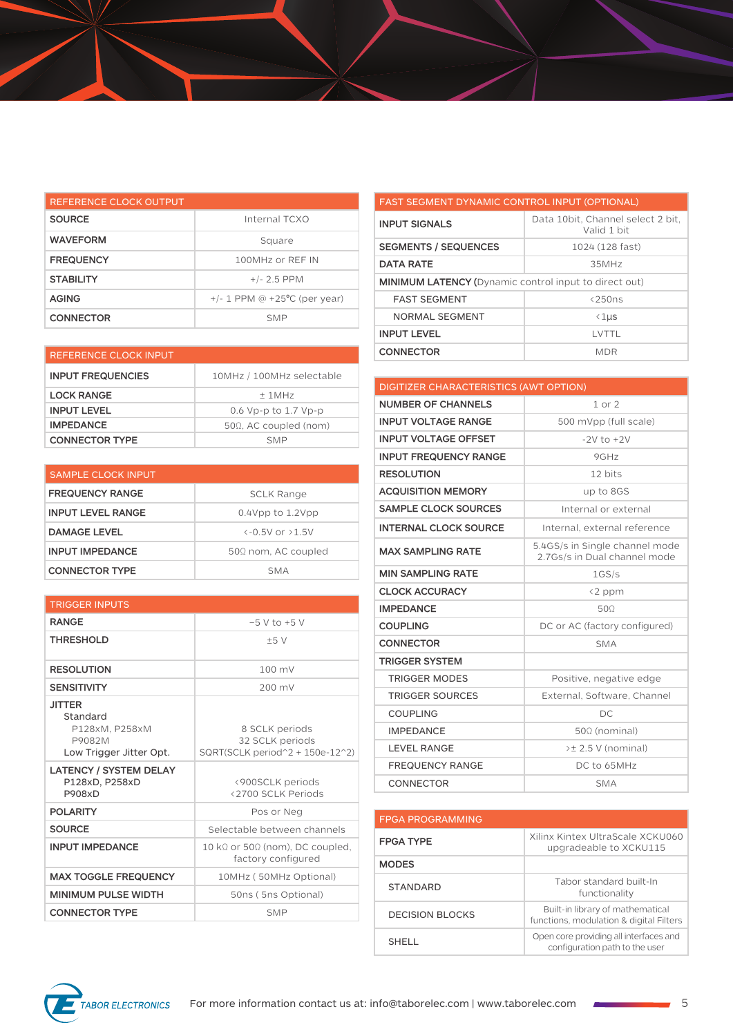| REFERENCE CLOCK OUTPUT |                                   |
|------------------------|-----------------------------------|
| <b>SOURCE</b>          | Internal TCXO                     |
| <b>WAVEFORM</b>        | Square                            |
| <b>FREQUENCY</b>       | 100MHz or REF IN                  |
| <b>STABILITY</b>       | $+/- 2.5$ PPM                     |
| <b>AGING</b>           | $+/- 1$ PPM @ $+25$ °C (per year) |
| <b>CONNECTOR</b>       | <b>SMP</b>                        |

| <b>REFERENCE CLOCK INPUT</b> |                               | <b>CONNECTOR</b>                       | <b>MDR</b>     |
|------------------------------|-------------------------------|----------------------------------------|----------------|
| <b>INPUT FREQUENCIES</b>     | 10MHz / 100MHz selectable     |                                        |                |
| <b>LOCK RANGE</b>            | $±$ 1MHz                      | DIGITIZER CHARACTERISTICS (AWT OPTION) |                |
|                              |                               | <b>NUMBER OF CHANNELS</b>              | $1$ or $2$     |
| <b>INPUT LEVEL</b>           | 0.6 Vp-p to 1.7 Vp-p          |                                        |                |
| <b>IMPEDANCE</b>             | $50\Omega$ . AC coupled (nom) | <b>INPUT VOLTAGE RANGE</b>             | $500$ mVpp (f) |
| <b>CONNECTOR TYPE</b>        | <b>SMP</b>                    | <b>INPUT VOLTAGE OFFSET</b>            | $-2V$ to $+$   |

| <b>SAMPLE CLOCK INPUT</b> |                                   |
|---------------------------|-----------------------------------|
| <b>FREQUENCY RANGE</b>    | <b>SCLK Range</b>                 |
| <b>INPUT LEVEL RANGE</b>  | $0.4$ Vpp to $1.2$ Vpp            |
| <b>DAMAGE LEVEL</b>       | $\left(-0.5V_0r_0+5V_0r_0\right)$ |
| <b>INPUT IMPEDANCE</b>    | $50\Omega$ nom, AC coupled        |
| <b>CONNECTOR TYPE</b>     | SMA                               |

| <b>TRIGGER INPUTS</b>                                                            |                                                                       |  |
|----------------------------------------------------------------------------------|-----------------------------------------------------------------------|--|
| <b>RANGE</b>                                                                     | $-5$ V to $+5$ V                                                      |  |
| <b>THRESHOLD</b>                                                                 | ±5V                                                                   |  |
| <b>RESOLUTION</b>                                                                | $100 \text{ mV}$                                                      |  |
| <b>SENSITIVITY</b>                                                               | 200 mV                                                                |  |
| <b>JITTER</b><br>Standard<br>P128xM. P258xM<br>P9082M<br>Low Trigger Jitter Opt. | 8 SCLK periods<br>32 SCLK periods<br>SQRT(SCLK period^2 + 150e-12^2)  |  |
| <b>LATENCY / SYSTEM DELAY</b><br>P128xD, P258xD<br><b>P908xD</b>                 | <900SCLK periods<br><2700 SCLK Periods                                |  |
| <b>POLARITY</b>                                                                  | Pos or Neg                                                            |  |
| <b>SOURCE</b>                                                                    | Selectable between channels                                           |  |
| <b>INPUT IMPEDANCE</b>                                                           | 10 k $\Omega$ or 50 $\Omega$ (nom), DC coupled,<br>factory configured |  |
| <b>MAX TOGGLE FREQUENCY</b>                                                      | 10MHz (50MHz Optional)                                                |  |
| <b>MINIMUM PULSE WIDTH</b>                                                       | 50ns (5ns Optional)                                                   |  |
| <b>CONNECTOR TYPE</b>                                                            | <b>SMP</b>                                                            |  |

| <b>FAST SEGMENT DYNAMIC CONTROL INPUT (OPTIONAL)</b>         |                                                   |  |
|--------------------------------------------------------------|---------------------------------------------------|--|
| <b>INPUT SIGNALS</b>                                         | Data 10 bit, Channel select 2 bit,<br>Valid 1 bit |  |
| <b>SEGMENTS / SEQUENCES</b>                                  | 1024 (128 fast)                                   |  |
| <b>DATA RATE</b>                                             | 35MHz                                             |  |
| <b>MINIMUM LATENCY (Dynamic control input to direct out)</b> |                                                   |  |
| <b>FAST SEGMENT</b>                                          | $<$ 250 $ns$                                      |  |
| NORMAL SEGMENT                                               | $\langle 1 \mu s$                                 |  |
| <b>INPUT LEVEL</b>                                           | i vtti                                            |  |
| <b>CONNECTOR</b>                                             | <b>MDR</b>                                        |  |

| <b>DIGITIZER CHARACTERISTICS (AWT OPTION)</b> |                                                                |  |
|-----------------------------------------------|----------------------------------------------------------------|--|
| <b>NUMBER OF CHANNELS</b>                     | $1$ or $2$                                                     |  |
| <b>INPUT VOLTAGE RANGE</b>                    | 500 mVpp (full scale)                                          |  |
| <b>INPUT VOLTAGE OFFSET</b>                   | $-2V$ to $+2V$                                                 |  |
| <b>INPUT FREQUENCY RANGE</b>                  | 9GHz                                                           |  |
| <b>RESOLUTION</b>                             | 12 bits                                                        |  |
| <b>ACQUISITION MEMORY</b>                     | up to 8GS                                                      |  |
| <b>SAMPLE CLOCK SOURCES</b>                   | Internal or external                                           |  |
| <b>INTERNAL CLOCK SOURCE</b>                  | Internal, external reference                                   |  |
| <b>MAX SAMPLING RATE</b>                      | 5.4GS/s in Single channel mode<br>2.7Gs/s in Dual channel mode |  |
| <b>MIN SAMPLING RATE</b>                      | 1GS/s                                                          |  |
| <b>CLOCK ACCURACY</b>                         | <2 ppm                                                         |  |
| <b>IMPEDANCE</b>                              | 500                                                            |  |
| <b>COUPLING</b>                               | DC or AC (factory configured)                                  |  |
| <b>CONNECTOR</b>                              | <b>SMA</b>                                                     |  |
| <b>TRIGGER SYSTEM</b>                         |                                                                |  |
| <b>TRIGGER MODES</b>                          | Positive, negative edge                                        |  |
| <b>TRIGGER SOURCES</b>                        | External, Software, Channel                                    |  |
| <b>COUPLING</b>                               | DC                                                             |  |
| <b>IMPEDANCE</b>                              | $50\Omega$ (nominal)                                           |  |
| <b>LEVEL RANGE</b>                            | >± 2.5 V (nominal)                                             |  |
| <b>FREQUENCY RANGE</b>                        | DC to 65MHz                                                    |  |
| CONNECTOR                                     | <b>SMA</b>                                                     |  |

| <b>FPGA PROGRAMMING</b> |                                                                             |
|-------------------------|-----------------------------------------------------------------------------|
| <b>FPGA TYPE</b>        | Xilinx Kintex UltraScale XCKU060<br>upgradeable to XCKU115                  |
| <b>MODES</b>            |                                                                             |
| <b>STANDARD</b>         | Tabor standard built-In<br>functionality                                    |
| DECISION BLOCKS         | Built-in library of mathematical<br>functions, modulation & digital Filters |
| SHELL.                  | Open core providing all interfaces and<br>configuration path to the user    |